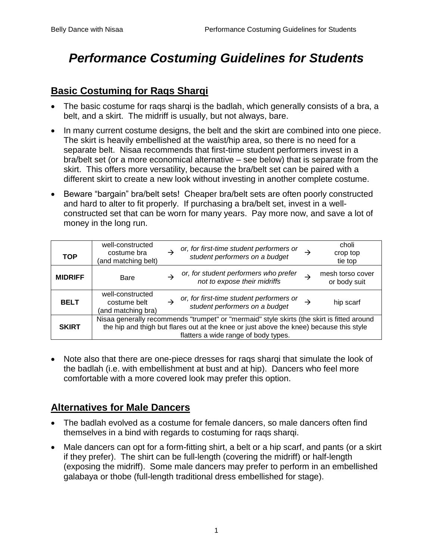# *Performance Costuming Guidelines for Students*

## **Basic Costuming for Raqs Sharqi**

- The basic costume for rags shargi is the badlah, which generally consists of a bra, a belt, and a skirt. The midriff is usually, but not always, bare.
- In many current costume designs, the belt and the skirt are combined into one piece. The skirt is heavily embellished at the waist/hip area, so there is no need for a separate belt. Nisaa recommends that first-time student performers invest in a bra/belt set (or a more economical alternative – see below) that is separate from the skirt. This offers more versatility, because the bra/belt set can be paired with a different skirt to create a new look without investing in another complete costume.
- Beware "bargain" bra/belt sets! Cheaper bra/belt sets are often poorly constructed and hard to alter to fit properly. If purchasing a bra/belt set, invest in a wellconstructed set that can be worn for many years. Pay more now, and save a lot of money in the long run.

| <b>TOP</b>     | well-constructed<br>costume bra<br>(and matching belt)                                                                                                                                                                        |  | or, for first-time student performers or<br>student performers on a budget |  | choli<br>crop top<br>tie top     |
|----------------|-------------------------------------------------------------------------------------------------------------------------------------------------------------------------------------------------------------------------------|--|----------------------------------------------------------------------------|--|----------------------------------|
| <b>MIDRIFF</b> | Bare                                                                                                                                                                                                                          |  | or, for student performers who prefer<br>not to expose their midriffs      |  | mesh torso cover<br>or body suit |
| <b>BELT</b>    | well-constructed<br>costume belt<br>(and matching bra)                                                                                                                                                                        |  | or, for first-time student performers or<br>student performers on a budget |  | hip scarf                        |
| <b>SKIRT</b>   | Nisaa generally recommends "trumpet" or "mermaid" style skirts (the skirt is fitted around<br>the hip and thigh but flares out at the knee or just above the knee) because this style<br>flatters a wide range of body types. |  |                                                                            |  |                                  |

• Note also that there are one-piece dresses for rags shargi that simulate the look of the badlah (i.e. with embellishment at bust and at hip). Dancers who feel more comfortable with a more covered look may prefer this option.

# **Alternatives for Male Dancers**

- The badlah evolved as a costume for female dancers, so male dancers often find themselves in a bind with regards to costuming for raqs sharqi.
- Male dancers can opt for a form-fitting shirt, a belt or a hip scarf, and pants (or a skirt if they prefer). The shirt can be full-length (covering the midriff) or half-length (exposing the midriff). Some male dancers may prefer to perform in an embellished galabaya or thobe (full-length traditional dress embellished for stage).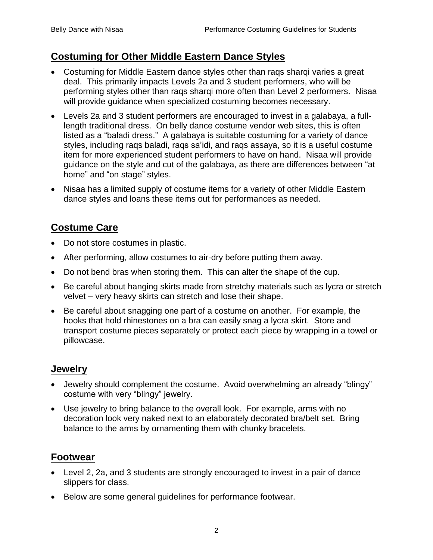#### **Costuming for Other Middle Eastern Dance Styles**

- Costuming for Middle Eastern dance styles other than rags shargi varies a great deal. This primarily impacts Levels 2a and 3 student performers, who will be performing styles other than raqs sharqi more often than Level 2 performers. Nisaa will provide guidance when specialized costuming becomes necessary.
- Levels 2a and 3 student performers are encouraged to invest in a galabaya, a fulllength traditional dress. On belly dance costume vendor web sites, this is often listed as a "baladi dress." A galabaya is suitable costuming for a variety of dance styles, including raqs baladi, raqs sa'idi, and raqs assaya, so it is a useful costume item for more experienced student performers to have on hand. Nisaa will provide guidance on the style and cut of the galabaya, as there are differences between "at home" and "on stage" styles.
- Nisaa has a limited supply of costume items for a variety of other Middle Eastern dance styles and loans these items out for performances as needed.

# **Costume Care**

- Do not store costumes in plastic.
- After performing, allow costumes to air-dry before putting them away.
- Do not bend bras when storing them. This can alter the shape of the cup.
- Be careful about hanging skirts made from stretchy materials such as lycra or stretch velvet – very heavy skirts can stretch and lose their shape.
- Be careful about snagging one part of a costume on another. For example, the hooks that hold rhinestones on a bra can easily snag a lycra skirt. Store and transport costume pieces separately or protect each piece by wrapping in a towel or pillowcase.

#### **Jewelry**

- Jewelry should complement the costume. Avoid overwhelming an already "blingy" costume with very "blingy" jewelry.
- Use jewelry to bring balance to the overall look. For example, arms with no decoration look very naked next to an elaborately decorated bra/belt set. Bring balance to the arms by ornamenting them with chunky bracelets.

#### **Footwear**

- Level 2, 2a, and 3 students are strongly encouraged to invest in a pair of dance slippers for class.
- Below are some general guidelines for performance footwear.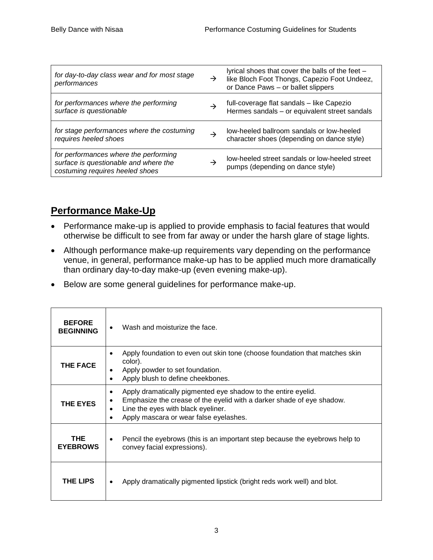| for day-to-day class wear and for most stage<br>performances                                                      | $\rightarrow$ | lyrical shoes that cover the balls of the feet -<br>like Bloch Foot Thongs, Capezio Foot Undeez,<br>or Dance Paws - or ballet slippers |
|-------------------------------------------------------------------------------------------------------------------|---------------|----------------------------------------------------------------------------------------------------------------------------------------|
| for performances where the performing<br>surface is questionable                                                  |               | full-coverage flat sandals - like Capezio<br>Hermes sandals - or equivalent street sandals                                             |
| for stage performances where the costuming<br>requires heeled shoes                                               | →             | low-heeled ballroom sandals or low-heeled<br>character shoes (depending on dance style)                                                |
| for performances where the performing<br>surface is questionable and where the<br>costuming requires heeled shoes |               | low-heeled street sandals or low-heeled street<br>pumps (depending on dance style)                                                     |

# **Performance Make-Up**

- Performance make-up is applied to provide emphasis to facial features that would otherwise be difficult to see from far away or under the harsh glare of stage lights.
- Although performance make-up requirements vary depending on the performance venue, in general, performance make-up has to be applied much more dramatically than ordinary day-to-day make-up (even evening make-up).
- Below are some general guidelines for performance make-up.

| <b>BEFORE</b><br><b>BEGINNING</b> | Wash and moisturize the face.                                                                                                                                                                                                            |  |  |  |
|-----------------------------------|------------------------------------------------------------------------------------------------------------------------------------------------------------------------------------------------------------------------------------------|--|--|--|
| <b>THE FACE</b>                   | Apply foundation to even out skin tone (choose foundation that matches skin<br>٠<br>color).<br>Apply powder to set foundation.<br>٠<br>Apply blush to define cheekbones.<br>٠                                                            |  |  |  |
| <b>THE EYES</b>                   | Apply dramatically pigmented eye shadow to the entire eyelid.<br>٠<br>Emphasize the crease of the eyelid with a darker shade of eye shadow.<br>$\bullet$<br>Line the eyes with black eyeliner.<br>Apply mascara or wear false eyelashes. |  |  |  |
| <b>THE</b><br><b>EYEBROWS</b>     | Pencil the eyebrows (this is an important step because the eyebrows help to<br>$\bullet$<br>convey facial expressions).                                                                                                                  |  |  |  |
| THE LIPS                          | Apply dramatically pigmented lipstick (bright reds work well) and blot.                                                                                                                                                                  |  |  |  |